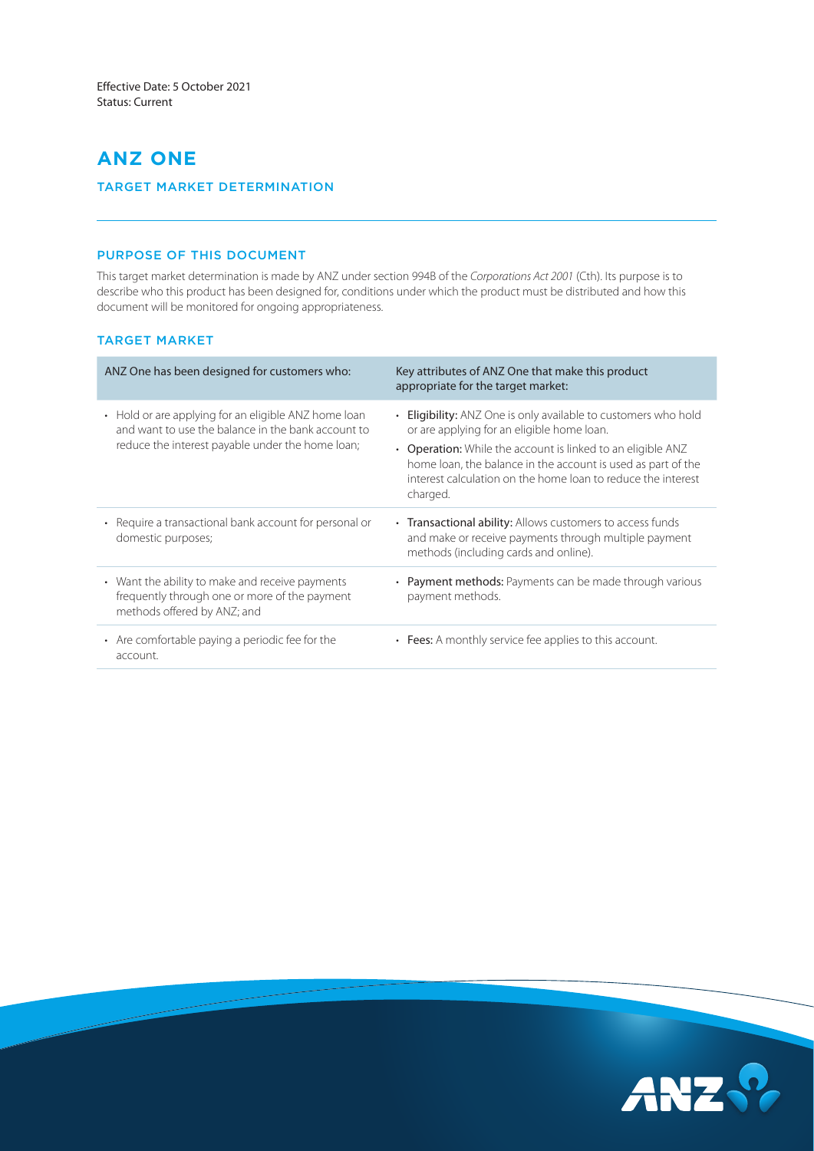# **ANZ ONE**

# TARGET MARKET DETERMINATION

# PURPOSE OF THIS DOCUMENT

This target market determination is made by ANZ under section 994B of the *Corporations Act 2001* (Cth). Its purpose is to describe who this product has been designed for, conditions under which the product must be distributed and how this document will be monitored for ongoing appropriateness.

# TARGET MARKET

| ANZ One has been designed for customers who:                                                                                                                   | Key attributes of ANZ One that make this product<br>appropriate for the target market:                                                                                                                                                                                                                                  |
|----------------------------------------------------------------------------------------------------------------------------------------------------------------|-------------------------------------------------------------------------------------------------------------------------------------------------------------------------------------------------------------------------------------------------------------------------------------------------------------------------|
| • Hold or are applying for an eligible ANZ home loan<br>and want to use the balance in the bank account to<br>reduce the interest payable under the home loan; | • Eligibility: ANZ One is only available to customers who hold<br>or are applying for an eligible home loan.<br>• Operation: While the account is linked to an eligible ANZ<br>home loan, the balance in the account is used as part of the<br>interest calculation on the home loan to reduce the interest<br>charged. |
| • Require a transactional bank account for personal or<br>domestic purposes;                                                                                   | • Transactional ability: Allows customers to access funds<br>and make or receive payments through multiple payment<br>methods (including cards and online).                                                                                                                                                             |
| • Want the ability to make and receive payments<br>frequently through one or more of the payment<br>methods offered by ANZ; and                                | • Payment methods: Payments can be made through various<br>payment methods.                                                                                                                                                                                                                                             |
| • Are comfortable paying a periodic fee for the<br>account.                                                                                                    | • Fees: A monthly service fee applies to this account.                                                                                                                                                                                                                                                                  |

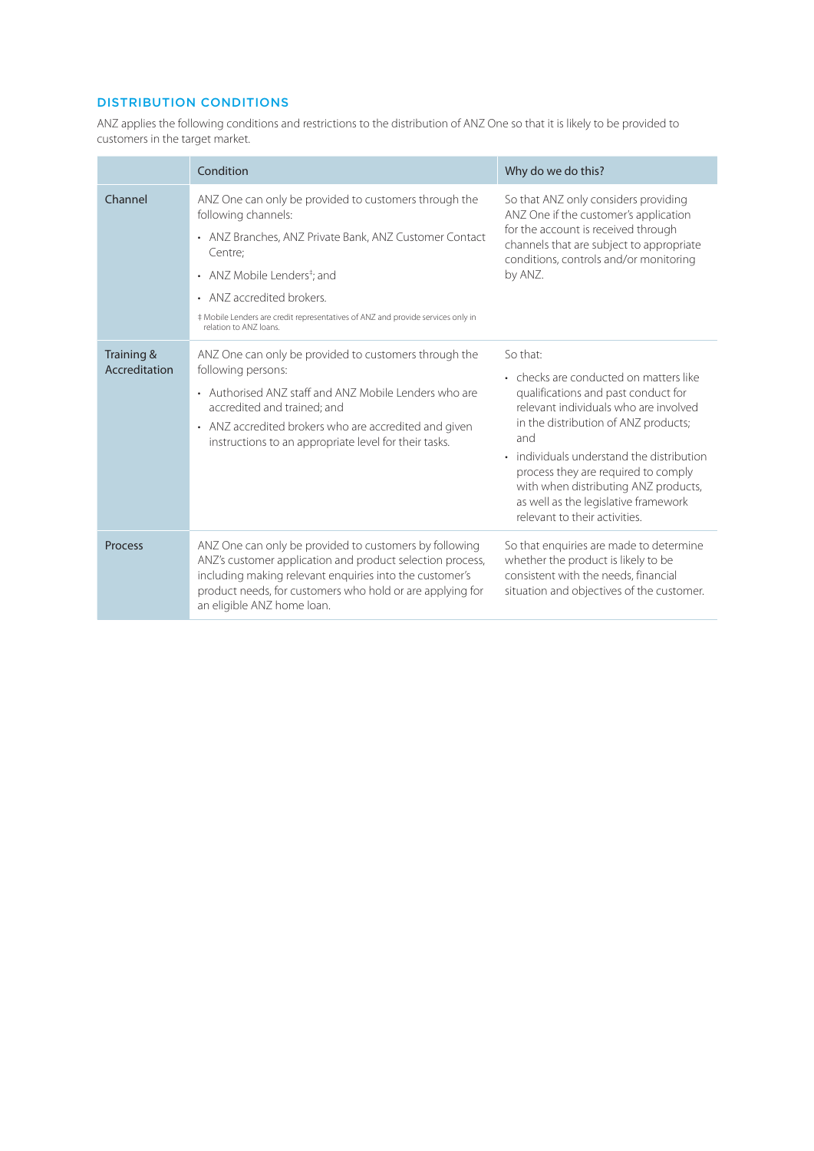# DISTRIBUTION CONDITIONS

ANZ applies the following conditions and restrictions to the distribution of ANZ One so that it is likely to be provided to customers in the target market.

|                             | Condition                                                                                                                                                                                                                                                                                                                              | Why do we do this?                                                                                                                                                                                                                                                                                                                                                                                |
|-----------------------------|----------------------------------------------------------------------------------------------------------------------------------------------------------------------------------------------------------------------------------------------------------------------------------------------------------------------------------------|---------------------------------------------------------------------------------------------------------------------------------------------------------------------------------------------------------------------------------------------------------------------------------------------------------------------------------------------------------------------------------------------------|
| Channel                     | ANZ One can only be provided to customers through the<br>following channels:<br>• ANZ Branches, ANZ Private Bank, ANZ Customer Contact<br>Centre:<br>• ANZ Mobile Lenders <sup>‡</sup> ; and<br>• ANZ accredited brokers.<br># Mobile Lenders are credit representatives of ANZ and provide services only in<br>relation to ANZ loans. | So that ANZ only considers providing<br>ANZ One if the customer's application<br>for the account is received through<br>channels that are subject to appropriate<br>conditions, controls and/or monitoring<br>by ANZ.                                                                                                                                                                             |
| Training &<br>Accreditation | ANZ One can only be provided to customers through the<br>following persons:<br>• Authorised ANZ staff and ANZ Mobile Lenders who are<br>accredited and trained; and<br>• ANZ accredited brokers who are accredited and given<br>instructions to an appropriate level for their tasks.                                                  | So that:<br>• checks are conducted on matters like<br>qualifications and past conduct for<br>relevant individuals who are involved<br>in the distribution of ANZ products;<br>and<br>individuals understand the distribution<br>$\bullet$<br>process they are required to comply<br>with when distributing ANZ products,<br>as well as the legislative framework<br>relevant to their activities. |
| <b>Process</b>              | ANZ One can only be provided to customers by following<br>ANZ's customer application and product selection process,<br>including making relevant enquiries into the customer's<br>product needs, for customers who hold or are applying for<br>an eligible ANZ home loan.                                                              | So that enquiries are made to determine<br>whether the product is likely to be<br>consistent with the needs, financial<br>situation and objectives of the customer.                                                                                                                                                                                                                               |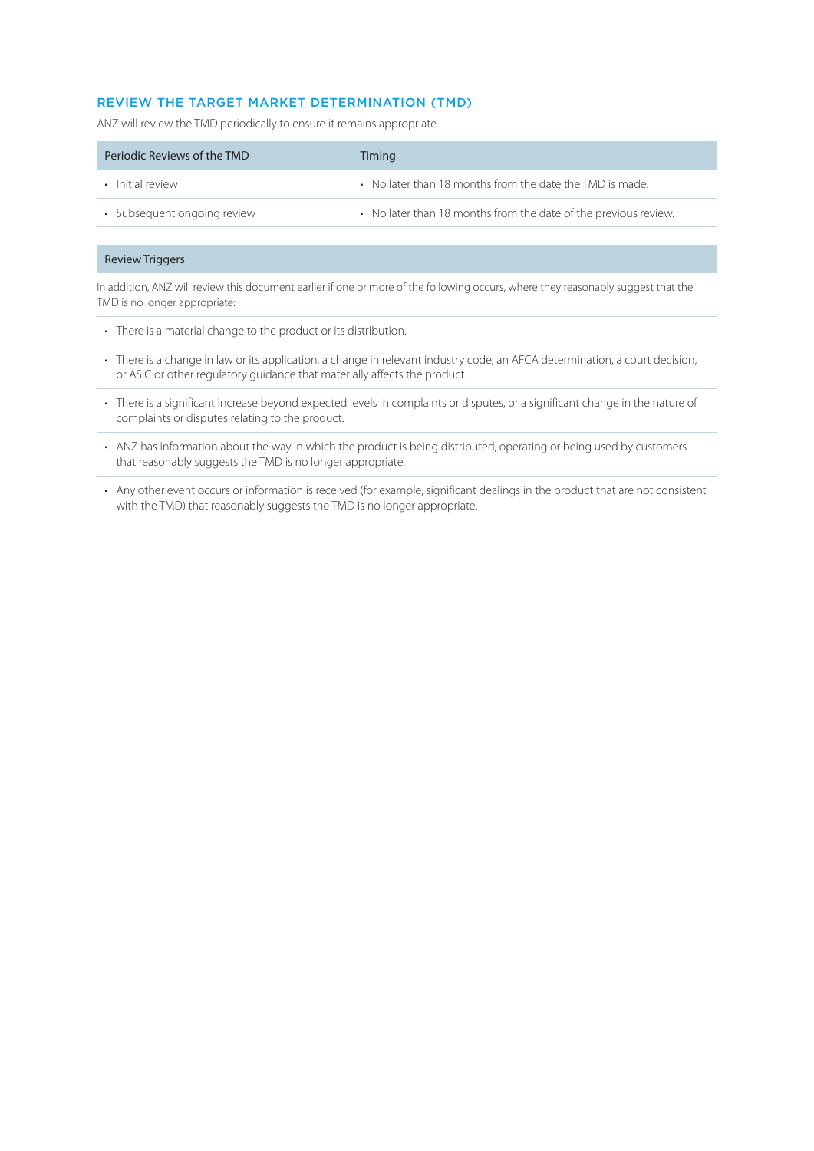# REVIEW THE TARGET MARKET DETERMINATION (TMD)

ANZ will review the TMD periodically to ensure it remains appropriate.

| Periodic Reviews of the TMD | Timing                                                          |
|-----------------------------|-----------------------------------------------------------------|
| • Initial review            | • No later than 18 months from the date the TMD is made.        |
| • Subsequent ongoing review | • No later than 18 months from the date of the previous review. |

#### Review Triggers

In addition, ANZ will review this document earlier if one or more of the following occurs, where they reasonably suggest that the TMD is no longer appropriate:

- There is a material change to the product or its distribution.
- There is a change in law or its application, a change in relevant industry code, an AFCA determination, a court decision, or ASIC or other regulatory guidance that materially affects the product.
- There is a significant increase beyond expected levels in complaints or disputes, or a significant change in the nature of complaints or disputes relating to the product.
- ANZ has information about the way in which the product is being distributed, operating or being used by customers that reasonably suggests the TMD is no longer appropriate.
- Any other event occurs or information is received (for example, significant dealings in the product that are not consistent with the TMD) that reasonably suggests the TMD is no longer appropriate.